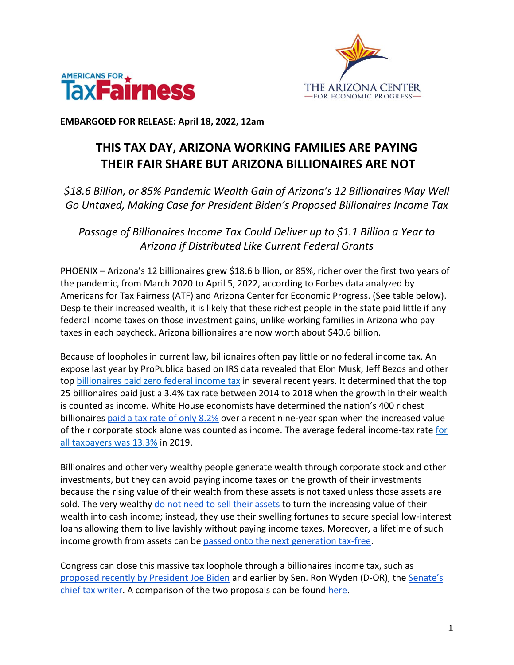



**EMBARGOED FOR RELEASE: April 18, 2022, 12am**

## **THIS TAX DAY, ARIZONA WORKING FAMILIES ARE PAYING THEIR FAIR SHARE BUT ARIZONA BILLIONAIRES ARE NOT**

*\$18.6 Billion, or 85% Pandemic Wealth Gain of Arizona's 12 Billionaires May Well Go Untaxed, Making Case for President Biden's Proposed Billionaires Income Tax*

*Passage of Billionaires Income Tax Could Deliver up to \$1.1 Billion a Year to Arizona if Distributed Like Current Federal Grants*

PHOENIX – Arizona's 12 billionaires grew \$18.6 billion, or 85%, richer over the first two years of the pandemic, from March 2020 to April 5, 2022, according to Forbes data analyzed by Americans for Tax Fairness (ATF) and Arizona Center for Economic Progress. (See table below). Despite their increased wealth, it is likely that these richest people in the state paid little if any federal income taxes on those investment gains, unlike working families in Arizona who pay taxes in each paycheck. Arizona billionaires are now worth about \$40.6 billion.

Because of loopholes in current law, billionaires often pay little or no federal income tax. An expose last year by ProPublica based on IRS data revealed that Elon Musk, Jeff Bezos and other to[p](https://americansfortaxfairness.org/wp-content/uploads/ProPublica-Billionaires-Fact-Sheet-Updated.pdf) [billionaires paid zero federal income tax](https://americansfortaxfairness.org/wp-content/uploads/ProPublica-Billionaires-Fact-Sheet-Updated.pdf) in several recent years. It determined that the top 25 billionaires paid just a 3.4% tax rate between 2014 to 2018 when the growth in their wealth is counted as income. White House economists have determined the nation's 400 richest billionaire[s](https://www.whitehouse.gov/cea/written-materials/2021/09/23/what-is-the-average-federal-individual-income-tax-rate-on-the-wealthiest-americans/) [paid a tax rate of only 8.2%](https://www.whitehouse.gov/cea/written-materials/2021/09/23/what-is-the-average-federal-individual-income-tax-rate-on-the-wealthiest-americans/) over a recent nine-year span when the increased value of their corporate stock alone was counted as income. The average federal income-tax rat[e](https://taxfoundation.org/summary-latest-federal-income-tax-data-2022-update/) [for](https://taxfoundation.org/summary-latest-federal-income-tax-data-2022-update/)  [all taxpayers was 13.3%](https://taxfoundation.org/summary-latest-federal-income-tax-data-2022-update/) in 2019.

Billionaires and other very wealthy people generate wealth through corporate stock and other investments, but they can avoid paying income taxes on the growth of their investments because the rising value of their wealth from these assets is not taxed unless those assets are sold. The ver[y](https://www.wsj.com/articles/buy-borrow-die-how-rich-americans-live-off-their-paper-wealth-11625909583) wealthy do not [need to sell their assets](https://www.wsj.com/articles/buy-borrow-die-how-rich-americans-live-off-their-paper-wealth-11625909583) to turn the increasing value of their wealth into cash income; instead, they use their swelling fortunes to secure special low-interest loans allowing them to live lavishly without paying income taxes. Moreover, a lifetime of such income growth from assets can b[e](https://americansfortaxfairness.org/issue/stop-protecting-billionaires-close-stepped-basis-loophole/) [passed onto the next generation tax-free.](https://americansfortaxfairness.org/issue/stop-protecting-billionaires-close-stepped-basis-loophole/)

Congress can close this massive tax loophole through a billionaires income tax, such as [proposed recently by President Joe Biden](https://www.whitehouse.gov/omb/briefing-room/2022/03/28/presidents-budget-rewards-work-not-wealth-with-new-billionaire-minimum-income-tax/) and earlier by Sen. Ron Wyden (D-OR), th[e](https://www.finance.senate.gov/chairmans-news/wyden-unveils-billionaires-income-tax) [Senate's](https://www.finance.senate.gov/chairmans-news/wyden-unveils-billionaires-income-tax)  [chief tax writer.](https://www.finance.senate.gov/chairmans-news/wyden-unveils-billionaires-income-tax) A comparison of the two proposals can be foun[d](https://docs.google.com/document/d/1VdQTBEMGB2dHRGIt823stOBmIdul86-N7fYAQWxp-wU/edit?usp=sharing) [here.](https://americansfortaxfairness.org/issue/comparison-biden-wyden-billionaires-income-tax-proposals-short/)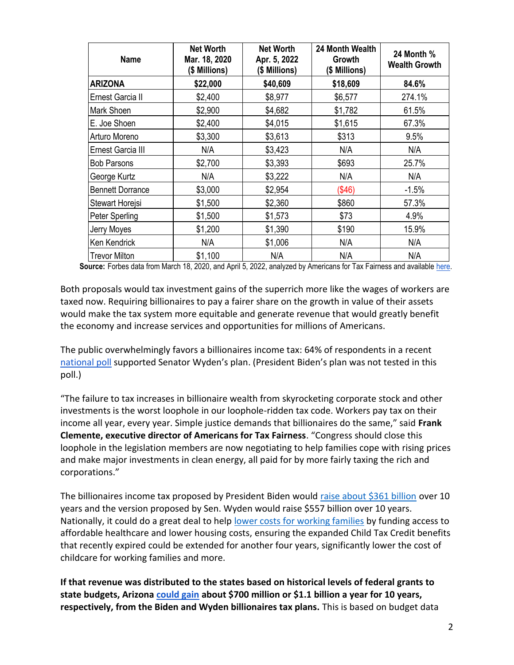| <b>Name</b>             | <b>Net Worth</b><br>Mar. 18, 2020<br>(\$ Millions) | <b>Net Worth</b><br>Apr. 5, 2022<br>(\$ Millions) | 24 Month Wealth<br>Growth<br>(\$ Millions) | 24 Month %<br><b>Wealth Growth</b> |
|-------------------------|----------------------------------------------------|---------------------------------------------------|--------------------------------------------|------------------------------------|
| <b>ARIZONA</b>          | \$22,000                                           | \$40,609                                          | \$18,609                                   | 84.6%                              |
| Ernest Garcia II        | \$2,400                                            | \$8,977                                           | \$6,577                                    | 274.1%                             |
| Mark Shoen              | \$2,900                                            | \$4,682                                           | \$1,782                                    | 61.5%                              |
| E. Joe Shoen            | \$2,400                                            | \$4,015                                           | \$1,615                                    | 67.3%                              |
| Arturo Moreno           | \$3,300                                            | \$3,613                                           | \$313                                      | 9.5%                               |
| Ernest Garcia III       | N/A                                                | \$3,423                                           | N/A                                        | N/A                                |
| <b>Bob Parsons</b>      | \$2,700                                            | \$3,393                                           | \$693                                      | 25.7%                              |
| George Kurtz            | N/A                                                | \$3,222                                           | N/A                                        | N/A                                |
| <b>Bennett Dorrance</b> | \$3,000                                            | \$2,954                                           | ( \$46)                                    | $-1.5%$                            |
| Stewart Horejsi         | \$1,500                                            | \$2,360                                           | \$860                                      | 57.3%                              |
| Peter Sperling          | \$1,500                                            | \$1,573                                           | \$73                                       | 4.9%                               |
| Jerry Moyes             | \$1,200                                            | \$1,390                                           | \$190                                      | 15.9%                              |
| Ken Kendrick            | N/A                                                | \$1,006                                           | N/A                                        | N/A                                |
| <b>Trevor Milton</b>    | \$1,100                                            | N/A                                               | N/A                                        | N/A                                |

Source: Forbes data from March 18, 2020, and April 5, 2022, analyzed by Americans for Tax Fairness and available [here.](https://docs.google.com/spreadsheets/d/1MksOhwmIojtZihAmPcfcYeaGoG3FOFZmiKUza1dIRD4/edit?usp=sharing)

Both proposals would tax investment gains of the superrich more like the wages of workers are taxed now. Requiring billionaires to pay a fairer share on the growth in value of their assets would make the tax system more equitable and generate revenue that would greatly benefit the economy and increase services and opportunities for millions of Americans.

The public overwhelmingly favors a billionaires income tax: 64% of respondents in a recen[t](https://docs.google.com/document/d/1AhWvucOLV2qY6izLkZvHpPig6DDmdFaCbmeM-5E65Xw/edit) [national poll](https://docs.google.com/document/d/1AhWvucOLV2qY6izLkZvHpPig6DDmdFaCbmeM-5E65Xw/edit) supported Senator Wyden's plan. (President Biden's plan was not tested in this poll.)

"The failure to tax increases in billionaire wealth from skyrocketing corporate stock and other investments is the worst loophole in our loophole-ridden tax code. Workers pay tax on their income all year, every year. Simple justice demands that billionaires do the same," said **Frank Clemente, executive director of Americans for Tax Fairness**. "Congress should close this loophole in the legislation members are now negotiating to help families cope with rising prices and make major investments in clean energy, all paid for by more fairly taxing the rich and corporations."

The billionaires income tax proposed by President Biden would [raise about \\$361 billion](https://americansfortaxfairness.org/issue/comparison-biden-wyden-billionaires-income-tax-proposals-short/) over 10 years and the version proposed by Sen. Wyden would raise \$557 billion over 10 years. Nationally, it could do a great deal to hel[p](https://americansfortaxfairness.org/issue/6-ways-spend-revenue-billionaires-income-tax/) [lower costs for working families](https://americansfortaxfairness.org/issue/6-ways-spend-revenue-billionaires-income-tax/) by funding access to affordable healthcare and lower housing costs, ensuring the expanded Child Tax Credit benefits that recently expired could be extended for another four years, significantly lower the cost of childcare for working families and more.

**If that revenue was distributed to the states based on historical levels of federal grants to state budgets, Arizon[a](https://docs.google.com/spreadsheets/d/1uMGQ0_Ow8ssIrktfYIvIQZwB44zOHf82ILpvh5kzWUI/edit?usp=sharing) [could gain](https://docs.google.com/spreadsheets/d/1uMGQ0_Ow8ssIrktfYIvIQZwB44zOHf82ILpvh5kzWUI/edit?usp=sharing) about \$700 million or \$1.1 billion a year for 10 years, respectively, from the Biden and Wyden billionaires tax plans.** This is based on budget data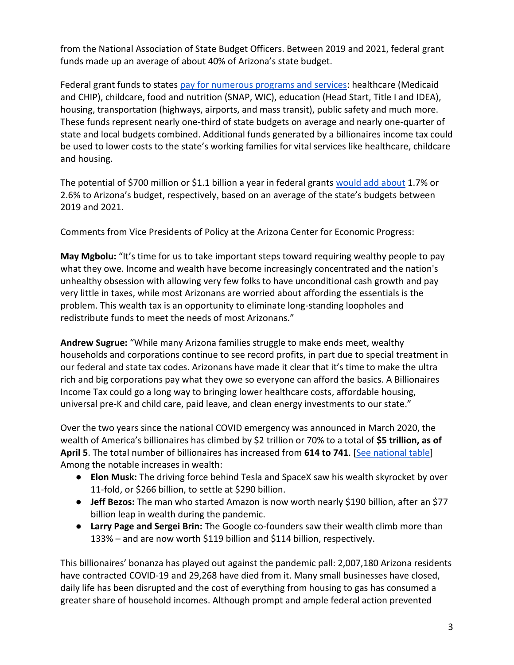from the National Association of State Budget Officers. Between 2019 and 2021, federal grant funds made up an average of about 40% of Arizona's state budget.

Federal grant funds to states [pay for numerous programs and services:](https://www.cbpp.org/research/state-budget-and-tax/federal-aid-to-state-and-local-governments) healthcare (Medicaid and CHIP), childcare, food and nutrition (SNAP, WIC), education (Head Start, Title I and IDEA), housing, transportation (highways, airports, and mass transit), public safety and much more. These funds represent nearly one-third of state budgets on average and nearly one-quarter of state and local budgets combined. Additional funds generated by a billionaires income tax could be used to lower costs to the state's working families for vital services like healthcare, childcare and housing.

The potential of \$700 million or \$1.1 billion a year in federal grant[s](https://docs.google.com/spreadsheets/d/1uMGQ0_Ow8ssIrktfYIvIQZwB44zOHf82ILpvh5kzWUI/edit?usp=sharing) [would add about](https://docs.google.com/spreadsheets/d/1uMGQ0_Ow8ssIrktfYIvIQZwB44zOHf82ILpvh5kzWUI/edit?usp=sharing) 1.7% or 2.6% to Arizona's budget, respectively, based on an average of the state's budgets between 2019 and 2021.

Comments from Vice Presidents of Policy at the Arizona Center for Economic Progress:

**May Mgbolu:** "It's time for us to take important steps toward requiring wealthy people to pay what they owe. Income and wealth have become increasingly concentrated and the nation's unhealthy obsession with allowing very few folks to have unconditional cash growth and pay very little in taxes, while most Arizonans are worried about affording the essentials is the problem. This wealth tax is an opportunity to eliminate long-standing loopholes and redistribute funds to meet the needs of most Arizonans."

**Andrew Sugrue:** "While many Arizona families struggle to make ends meet, wealthy households and corporations continue to see record profits, in part due to special treatment in our federal and state tax codes. Arizonans have made it clear that it's time to make the ultra rich and big corporations pay what they owe so everyone can afford the basics. A Billionaires Income Tax could go a long way to bringing lower healthcare costs, affordable housing, universal pre-K and child care, paid leave, and clean energy investments to our state."

Over the two years since the national COVID emergency was announced in March 2020, the wealth of America's billionaires has climbed by \$2 trillion or 70% to a total of **\$5 trillion, as of**  April 5. The total number of billionaires has increased from 614 to 741. [\[See national table\]](https://docs.google.com/spreadsheets/d/1MksOhwmIojtZihAmPcfcYeaGoG3FOFZmiKUza1dIRD4/edit?usp=sharing) Among the notable increases in wealth:

- **Elon Musk:** The driving force behind Tesla and SpaceX saw his wealth skyrocket by over 11-fold, or \$266 billion, to settle at \$290 billion.
- **Jeff Bezos:** The man who started Amazon is now worth nearly \$190 billion, after an \$77 billion leap in wealth during the pandemic.
- **Larry Page and Sergei Brin:** The Google co-founders saw their wealth climb more than 133% – and are now worth \$119 billion and \$114 billion, respectively.

This billionaires' bonanza has played out against the pandemic pall: 2,007,180 Arizona residents have contracted COVID-19 and 29,268 have died from it. Many small businesses have closed, daily life has been disrupted and the cost of everything from housing to gas has consumed a greater share of household incomes. Although prompt and ample federal action prevented